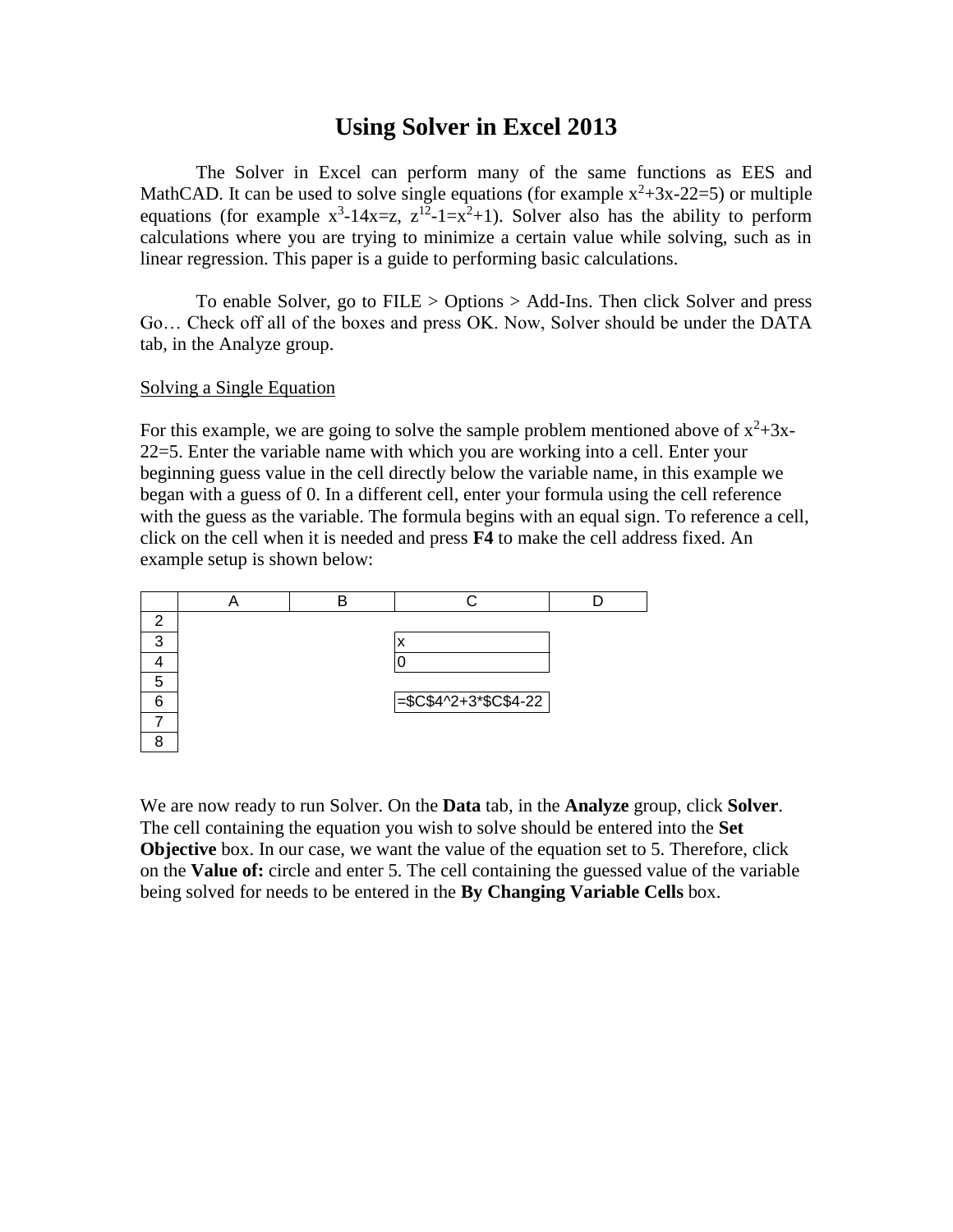## **Using Solver in Excel 2013**

The Solver in Excel can perform many of the same functions as EES and MathCAD. It can be used to solve single equations (for example  $x^2+3x-22=5$ ) or multiple equations (for example  $x^3-14x=z$ ,  $z^{12}-1=x^2+1$ ). Solver also has the ability to perform calculations where you are trying to minimize a certain value while solving, such as in linear regression. This paper is a guide to performing basic calculations.

To enable Solver, go to FILE > Options > Add-Ins. Then click Solver and press Go… Check off all of the boxes and press OK. Now, Solver should be under the DATA tab, in the Analyze group.

## Solving a Single Equation

For this example, we are going to solve the sample problem mentioned above of  $x^2+3x-$ 22=5. Enter the variable name with which you are working into a cell. Enter your beginning guess value in the cell directly below the variable name, in this example we began with a guess of 0. In a different cell, enter your formula using the cell reference with the guess as the variable. The formula begins with an equal sign. To reference a cell, click on the cell when it is needed and press **F4** to make the cell address fixed. An example setup is shown below:

| ⌒  |  |                            |  |
|----|--|----------------------------|--|
| ົ  |  |                            |  |
|    |  |                            |  |
| Б, |  |                            |  |
|    |  | $=\frac{$C$4^2+3*CC$4-22}$ |  |
|    |  |                            |  |
|    |  |                            |  |

We are now ready to run Solver. On the **Data** tab, in the **Analyze** group, click **Solver**. The cell containing the equation you wish to solve should be entered into the **Set Objective** box. In our case, we want the value of the equation set to 5. Therefore, click on the **Value of:** circle and enter 5. The cell containing the guessed value of the variable being solved for needs to be entered in the **By Changing Variable Cells** box.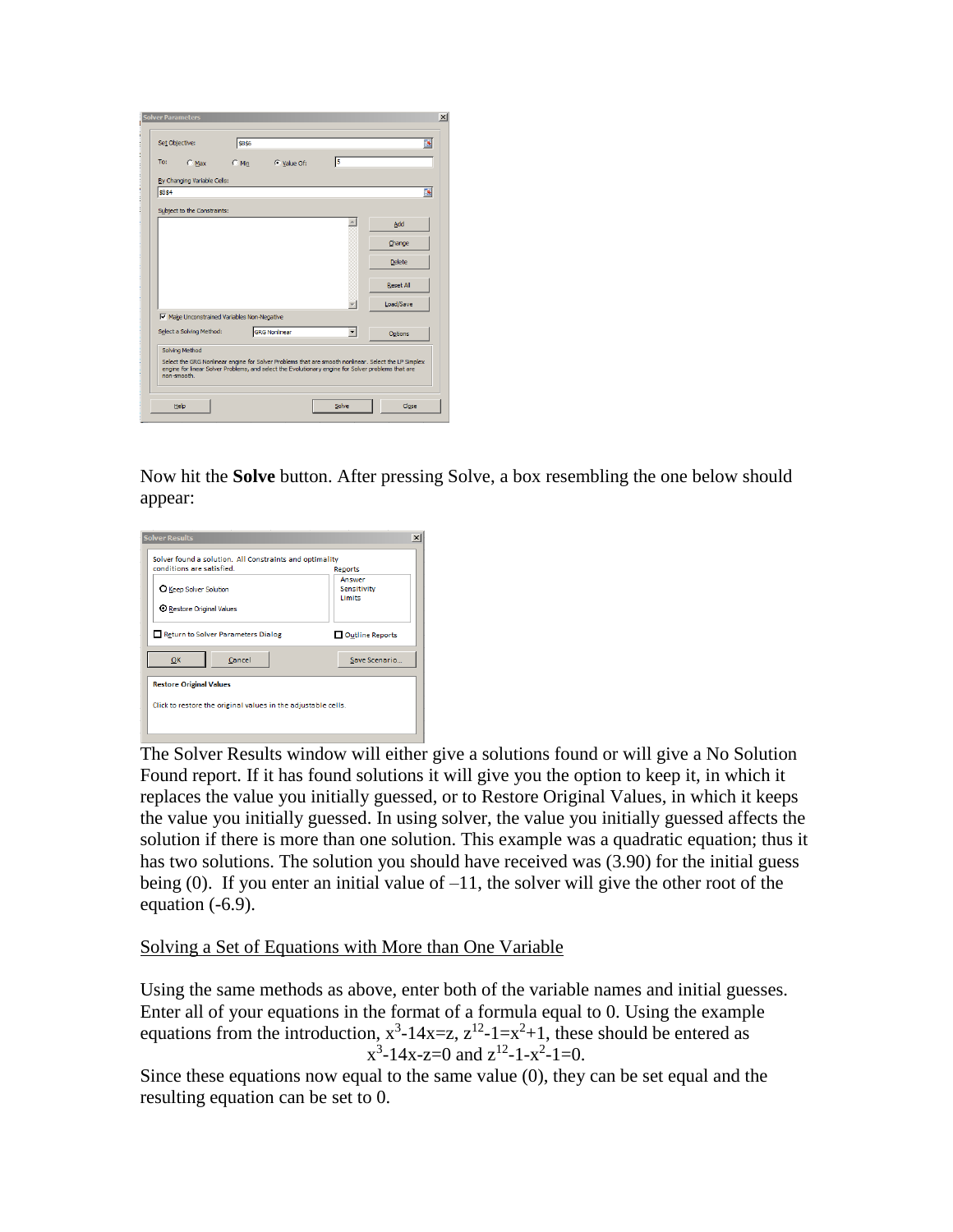| Set Objective:                            | \$8\$6                                                                                                                                                                                                     |   | 国                |
|-------------------------------------------|------------------------------------------------------------------------------------------------------------------------------------------------------------------------------------------------------------|---|------------------|
| To:<br>$C$ Max                            | C Value Of:<br>$C$ Min                                                                                                                                                                                     | 5 |                  |
| By Changing Variable Cells:               |                                                                                                                                                                                                            |   |                  |
| \$8\$4                                    |                                                                                                                                                                                                            |   | 嶐                |
| Subject to the Constraints:               |                                                                                                                                                                                                            |   |                  |
|                                           |                                                                                                                                                                                                            |   | Add              |
|                                           |                                                                                                                                                                                                            |   | Change           |
|                                           |                                                                                                                                                                                                            |   | <b>Delete</b>    |
|                                           |                                                                                                                                                                                                            |   | <b>Reset All</b> |
|                                           |                                                                                                                                                                                                            |   | Load/Save        |
| Make Unconstrained Variables Non-Negative |                                                                                                                                                                                                            |   |                  |
| Select a Solving Method:                  | <b>GRG Nonlinear</b>                                                                                                                                                                                       |   | Options          |
| Solving Method                            |                                                                                                                                                                                                            |   |                  |
| non-smooth.                               | Select the GRG Nonlinear engine for Solver Problems that are smooth nonlinear. Select the LP Simplex<br>engine for linear Solver Problems, and select the Evolutionary engine for Solver problems that are |   |                  |

Now hit the **Solve** button. After pressing Solve, a box resembling the one below should appear:



The Solver Results window will either give a solutions found or will give a No Solution Found report. If it has found solutions it will give you the option to keep it, in which it replaces the value you initially guessed, or to Restore Original Values, in which it keeps the value you initially guessed. In using solver, the value you initially guessed affects the solution if there is more than one solution. This example was a quadratic equation; thus it has two solutions. The solution you should have received was (3.90) for the initial guess being  $(0)$ . If you enter an initial value of  $-11$ , the solver will give the other root of the equation (-6.9).

## Solving a Set of Equations with More than One Variable

Using the same methods as above, enter both of the variable names and initial guesses. Enter all of your equations in the format of a formula equal to 0. Using the example equations from the introduction,  $x^3-14x=z$ ,  $z^{12}-1=x^2+1$ , these should be entered as  $x^3-14x-z=0$  and  $z^{12}-1-x^2-1=0$ .

Since these equations now equal to the same value (0), they can be set equal and the resulting equation can be set to 0.